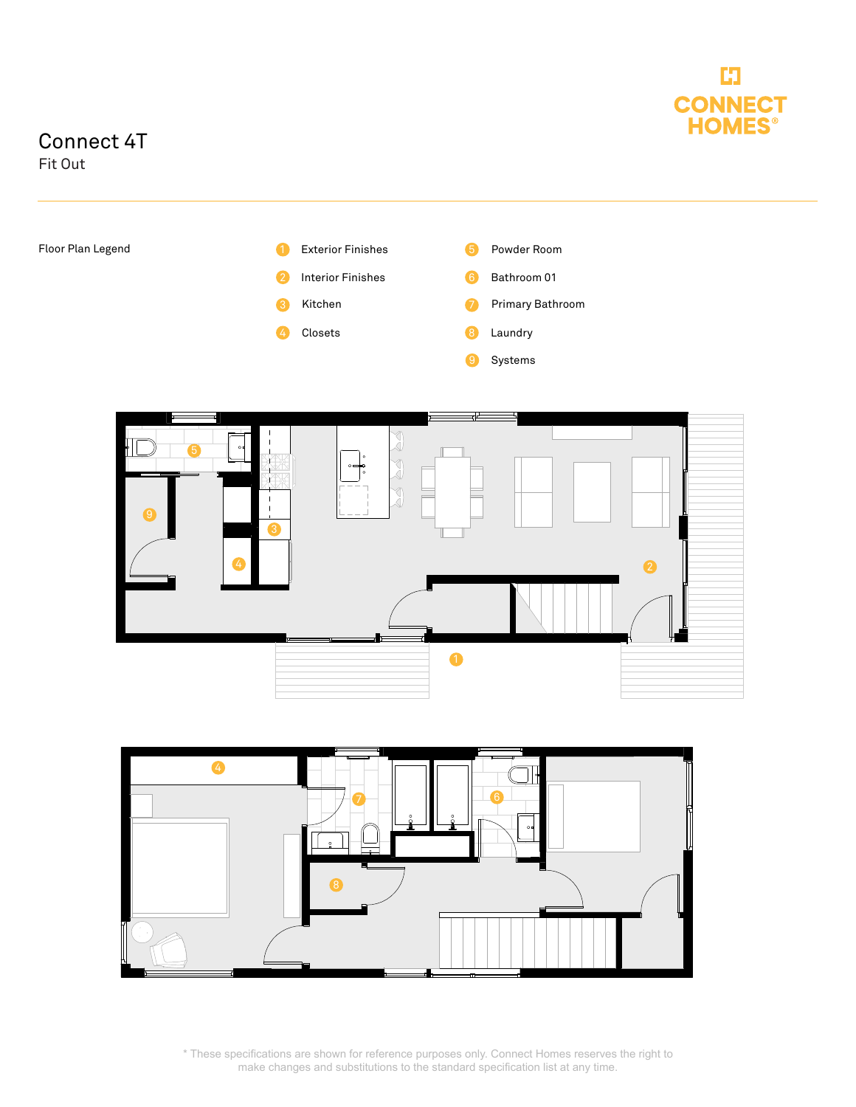

## Connect 4T

Fit Out







\* These specifications are shown for reference purposes only. Connect Homes reserves the right to make changes and substitutions to the standard specification list at any time.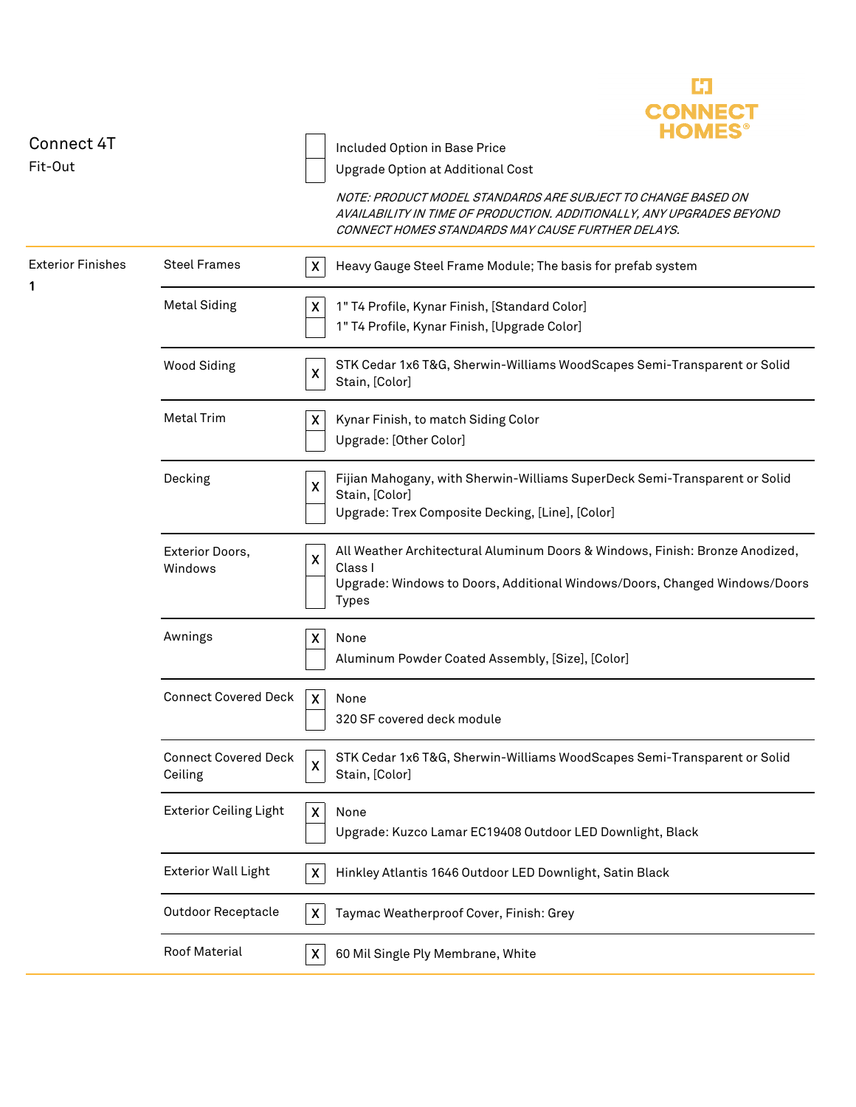|                               |                               |                           | <b>CONNECT</b><br><b>HOMES<sup>®</sup></b>                                                                                                                                                 |
|-------------------------------|-------------------------------|---------------------------|--------------------------------------------------------------------------------------------------------------------------------------------------------------------------------------------|
| <b>Connect 4T</b><br>Fit-Out  |                               |                           | Included Option in Base Price                                                                                                                                                              |
|                               |                               |                           | Upgrade Option at Additional Cost                                                                                                                                                          |
|                               |                               |                           | NOTE: PRODUCT MODEL STANDARDS ARE SUBJECT TO CHANGE BASED ON<br>AVAILABILITY IN TIME OF PRODUCTION. ADDITIONALLY, ANY UPGRADES BEYOND<br>CONNECT HOMES STANDARDS MAY CAUSE FURTHER DELAYS. |
| <b>Exterior Finishes</b><br>1 | <b>Steel Frames</b>           | $\boldsymbol{\mathsf{X}}$ | Heavy Gauge Steel Frame Module; The basis for prefab system                                                                                                                                |
|                               | <b>Metal Siding</b>           | X                         | 1" T4 Profile, Kynar Finish, [Standard Color]                                                                                                                                              |
|                               |                               |                           | 1" T4 Profile, Kynar Finish, [Upgrade Color]                                                                                                                                               |
|                               | <b>Wood Siding</b>            | $\pmb{\times}$            | STK Cedar 1x6 T&G, Sherwin-Williams WoodScapes Semi-Transparent or Solid<br>Stain, [Color]                                                                                                 |
|                               | <b>Metal Trim</b>             | $\boldsymbol{\mathsf{X}}$ | Kynar Finish, to match Siding Color                                                                                                                                                        |
|                               |                               |                           | Upgrade: [Other Color]                                                                                                                                                                     |
|                               |                               |                           |                                                                                                                                                                                            |
|                               | Decking                       | $\boldsymbol{\mathsf{X}}$ | Fijian Mahogany, with Sherwin-Williams SuperDeck Semi-Transparent or Solid                                                                                                                 |
|                               |                               |                           | Stain, [Color]                                                                                                                                                                             |
|                               |                               |                           | Upgrade: Trex Composite Decking, [Line], [Color]                                                                                                                                           |
|                               | Exterior Doors,               | $\boldsymbol{\mathsf{X}}$ | All Weather Architectural Aluminum Doors & Windows, Finish: Bronze Anodized,                                                                                                               |
|                               | Windows                       |                           | Class I                                                                                                                                                                                    |
|                               |                               |                           | Upgrade: Windows to Doors, Additional Windows/Doors, Changed Windows/Doors<br><b>Types</b>                                                                                                 |
|                               |                               |                           |                                                                                                                                                                                            |
|                               | Awnings                       | $\boldsymbol{\mathsf{X}}$ | None                                                                                                                                                                                       |
|                               |                               |                           | Aluminum Powder Coated Assembly, [Size], [Color]                                                                                                                                           |
|                               | <b>Connect Covered Deck</b>   | X                         | None                                                                                                                                                                                       |
|                               |                               |                           | 320 SF covered deck module                                                                                                                                                                 |
|                               |                               |                           |                                                                                                                                                                                            |
|                               | <b>Connect Covered Deck</b>   | $\pmb{\mathsf{X}}$        | STK Cedar 1x6 T&G, Sherwin-Williams WoodScapes Semi-Transparent or Solid                                                                                                                   |
|                               | Ceiling                       |                           | Stain, [Color]                                                                                                                                                                             |
|                               | <b>Exterior Ceiling Light</b> | $\boldsymbol{\mathsf{X}}$ | None                                                                                                                                                                                       |
|                               |                               |                           | Upgrade: Kuzco Lamar EC19408 Outdoor LED Downlight, Black                                                                                                                                  |
|                               |                               |                           |                                                                                                                                                                                            |
|                               | <b>Exterior Wall Light</b>    | $\boldsymbol{\mathsf{X}}$ | Hinkley Atlantis 1646 Outdoor LED Downlight, Satin Black                                                                                                                                   |
|                               | <b>Outdoor Receptacle</b>     | $\pmb{\times}$            | Taymac Weatherproof Cover, Finish: Grey                                                                                                                                                    |
|                               | Roof Material                 | X                         | 60 Mil Single Ply Membrane, White                                                                                                                                                          |
|                               |                               |                           |                                                                                                                                                                                            |

E3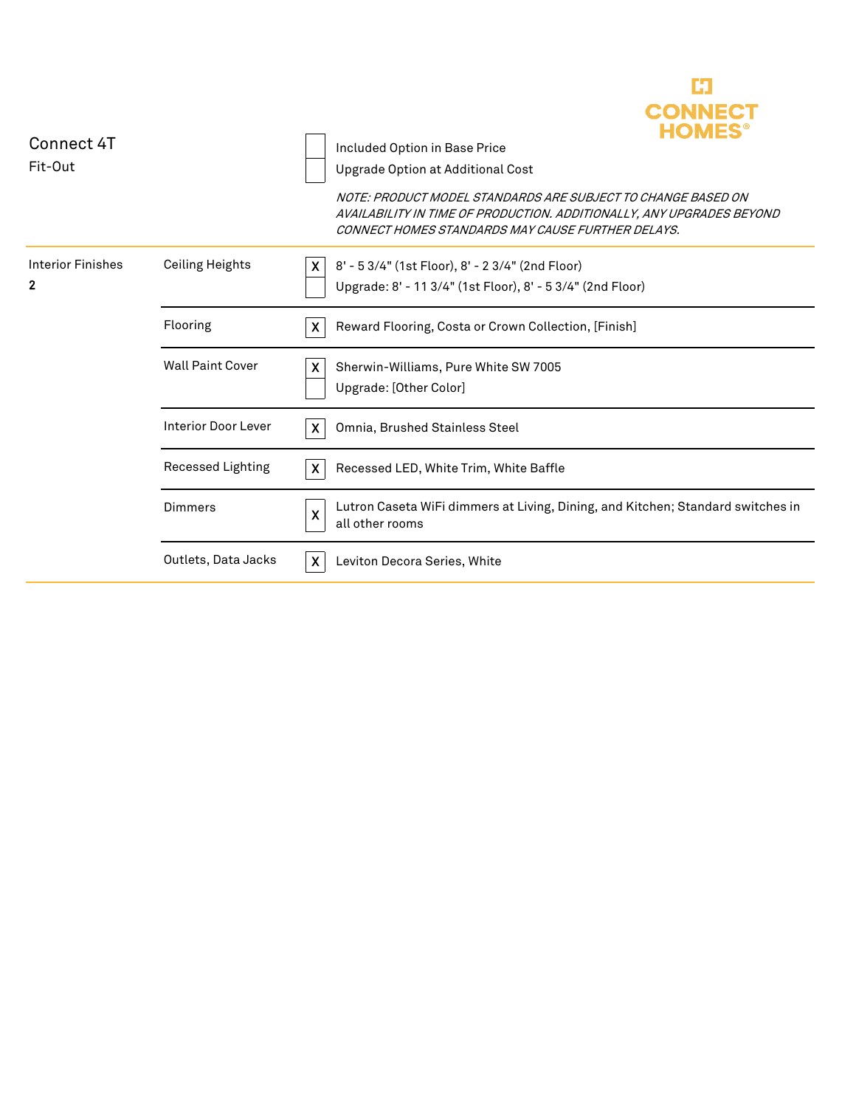| Connect 4T<br>Fit-Out                    |                            | HOMES<br>Included Option in Base Price<br>Upgrade Option at Additional Cost<br>NOTE: PRODUCT MODEL STANDARDS ARE SUBJECT TO CHANGE BASED ON<br>AVAILABILITY IN TIME OF PRODUCTION. ADDITIONALLY, ANY UPGRADES BEYOND<br>CONNECT HOMES STANDARDS MAY CAUSE FURTHER DELAYS. |
|------------------------------------------|----------------------------|---------------------------------------------------------------------------------------------------------------------------------------------------------------------------------------------------------------------------------------------------------------------------|
| <b>Interior Finishes</b><br>$\mathbf{2}$ | <b>Ceiling Heights</b>     | 8' - 5 3/4" (1st Floor), 8' - 2 3/4" (2nd Floor)<br>X.<br>Upgrade: 8' - 11 3/4" (1st Floor), 8' - 5 3/4" (2nd Floor)                                                                                                                                                      |
|                                          | Flooring                   | $\boldsymbol{\mathsf{X}}$<br>Reward Flooring, Costa or Crown Collection, [Finish]                                                                                                                                                                                         |
|                                          | <b>Wall Paint Cover</b>    | X<br>Sherwin-Williams, Pure White SW 7005<br>Upgrade: [Other Color]                                                                                                                                                                                                       |
|                                          | <b>Interior Door Lever</b> | X<br>Omnia, Brushed Stainless Steel                                                                                                                                                                                                                                       |
|                                          | Recessed Lighting          | $\boldsymbol{X}$<br>Recessed LED, White Trim, White Baffle                                                                                                                                                                                                                |
|                                          | Dimmers                    | Lutron Caseta WiFi dimmers at Living, Dining, and Kitchen; Standard switches in<br>$\boldsymbol{\mathsf{X}}$<br>all other rooms                                                                                                                                           |
|                                          | Outlets, Data Jacks        | $\boldsymbol{X}$<br>Leviton Decora Series, White                                                                                                                                                                                                                          |

C)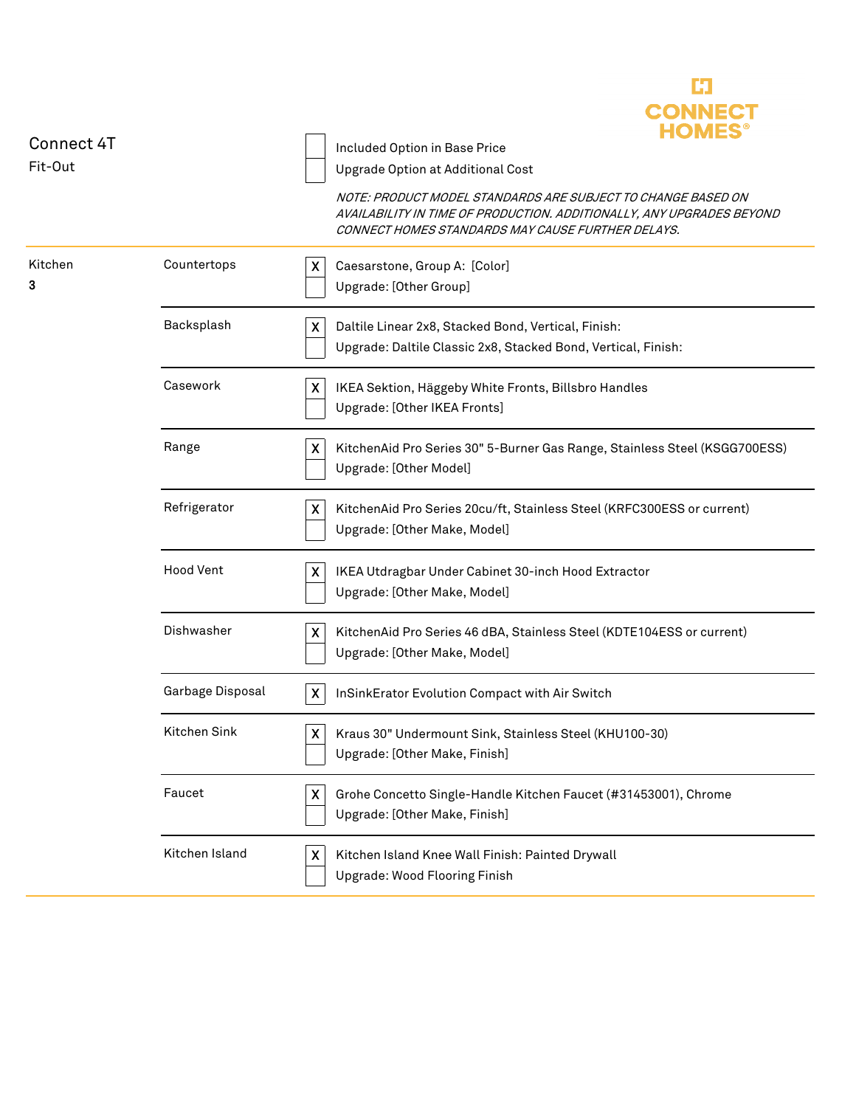| Connect 4T   |                  | <b>CONNECT</b><br>Included Option in Base Price                                                                                                                                            |
|--------------|------------------|--------------------------------------------------------------------------------------------------------------------------------------------------------------------------------------------|
| Fit-Out      |                  | Upgrade Option at Additional Cost                                                                                                                                                          |
|              |                  | NOTE: PRODUCT MODEL STANDARDS ARE SUBJECT TO CHANGE BASED ON<br>AVAILABILITY IN TIME OF PRODUCTION. ADDITIONALLY, ANY UPGRADES BEYOND<br>CONNECT HOMES STANDARDS MAY CAUSE FURTHER DELAYS. |
| Kitchen<br>3 | Countertops      | Caesarstone, Group A: [Color]<br>X<br>Upgrade: [Other Group]                                                                                                                               |
|              | Backsplash       | $\pmb{\mathsf{X}}$<br>Daltile Linear 2x8, Stacked Bond, Vertical, Finish:<br>Upgrade: Daltile Classic 2x8, Stacked Bond, Vertical, Finish:                                                 |
|              | Casework         | X<br>IKEA Sektion, Häggeby White Fronts, Billsbro Handles<br>Upgrade: [Other IKEA Fronts]                                                                                                  |
|              | Range            | X<br>KitchenAid Pro Series 30" 5-Burner Gas Range, Stainless Steel (KSGG700ESS)<br>Upgrade: [Other Model]                                                                                  |
|              | Refrigerator     | KitchenAid Pro Series 20cu/ft, Stainless Steel (KRFC300ESS or current)<br>X<br>Upgrade: [Other Make, Model]                                                                                |
|              | <b>Hood Vent</b> | IKEA Utdragbar Under Cabinet 30-inch Hood Extractor<br>X<br>Upgrade: [Other Make, Model]                                                                                                   |
|              | Dishwasher       | KitchenAid Pro Series 46 dBA, Stainless Steel (KDTE104ESS or current)<br>X<br>Upgrade: [Other Make, Model]                                                                                 |
|              | Garbage Disposal | InSinkErator Evolution Compact with Air Switch<br>X                                                                                                                                        |
|              | Kitchen Sink     | Kraus 30" Undermount Sink, Stainless Steel (KHU100-30)<br>X<br>Upgrade: [Other Make, Finish]                                                                                               |
|              | Faucet           | X<br>Grohe Concetto Single-Handle Kitchen Faucet (#31453001), Chrome<br>Upgrade: [Other Make, Finish]                                                                                      |
|              | Kitchen Island   | Kitchen Island Knee Wall Finish: Painted Drywall<br>X<br>Upgrade: Wood Flooring Finish                                                                                                     |

E.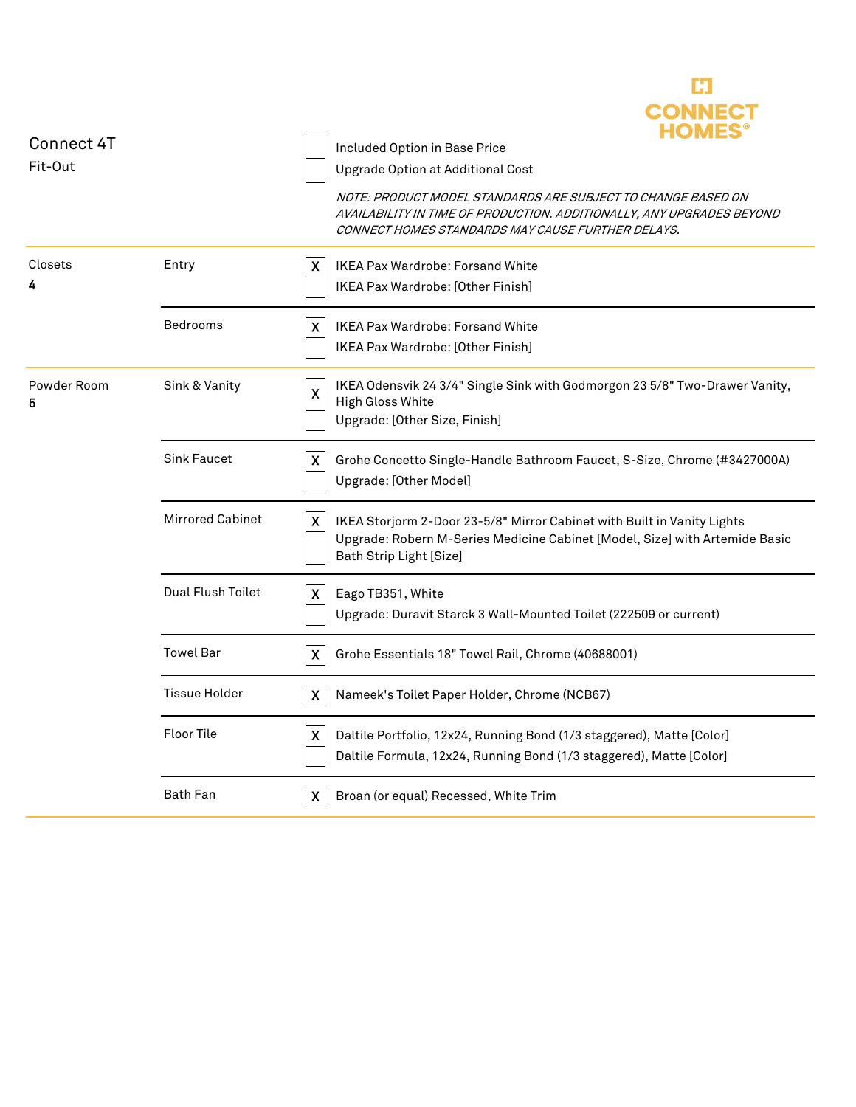| Connect 4T<br>Fit-Out |                         | <b>CONNECT</b><br>Included Option in Base Price<br>Upgrade Option at Additional Cost                                                                                                       |
|-----------------------|-------------------------|--------------------------------------------------------------------------------------------------------------------------------------------------------------------------------------------|
|                       |                         | NOTE: PRODUCT MODEL STANDARDS ARE SUBJECT TO CHANGE BASED ON<br>AVAILABILITY IN TIME OF PRODUCTION. ADDITIONALLY, ANY UPGRADES BEYOND<br>CONNECT HOMES STANDARDS MAY CAUSE FURTHER DELAYS. |
| Closets<br>4          | Entry                   | IKEA Pax Wardrobe: Forsand White<br>X<br><b>IKEA Pax Wardrobe: [Other Finish]</b>                                                                                                          |
|                       | <b>Bedrooms</b>         | IKEA Pax Wardrobe: Forsand White<br>X<br>IKEA Pax Wardrobe: [Other Finish]                                                                                                                 |
| Powder Room<br>5      | Sink & Vanity           | IKEA Odensvik 24 3/4" Single Sink with Godmorgon 23 5/8" Two-Drawer Vanity,<br>$\boldsymbol{\mathsf{X}}$<br>High Gloss White<br>Upgrade: [Other Size, Finish]                              |
|                       | <b>Sink Faucet</b>      | X<br>Grohe Concetto Single-Handle Bathroom Faucet, S-Size, Chrome (#3427000A)<br>Upgrade: [Other Model]                                                                                    |
|                       | <b>Mirrored Cabinet</b> | X<br>IKEA Storjorm 2-Door 23-5/8" Mirror Cabinet with Built in Vanity Lights<br>Upgrade: Robern M-Series Medicine Cabinet [Model, Size] with Artemide Basic<br>Bath Strip Light [Size]     |
|                       | Dual Flush Toilet       | X<br>Eago TB351, White<br>Upgrade: Duravit Starck 3 Wall-Mounted Toilet (222509 or current)                                                                                                |
|                       | <b>Towel Bar</b>        | X<br>Grohe Essentials 18" Towel Rail, Chrome (40688001)                                                                                                                                    |
|                       | <b>Tissue Holder</b>    | X<br>Nameek's Toilet Paper Holder, Chrome (NCB67)                                                                                                                                          |
|                       | <b>Floor Tile</b>       | X<br>Daltile Portfolio, 12x24, Running Bond (1/3 staggered), Matte [Color]<br>Daltile Formula, 12x24, Running Bond (1/3 staggered), Matte [Color]                                          |
|                       | <b>Bath Fan</b>         | Broan (or equal) Recessed, White Trim<br>X                                                                                                                                                 |

E3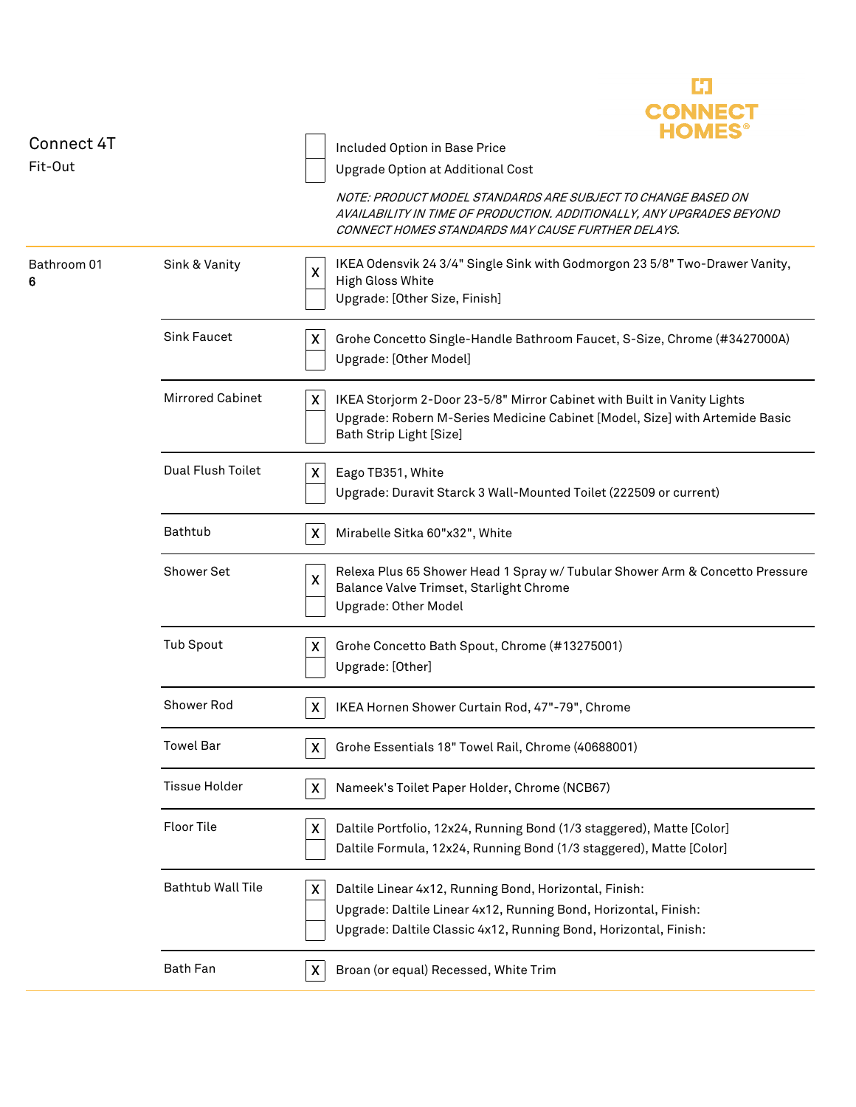| Connect 4T       |                          | <b>CONNECT</b><br><b>HOMES</b><br>Included Option in Base Price                                                                                                                                    |
|------------------|--------------------------|----------------------------------------------------------------------------------------------------------------------------------------------------------------------------------------------------|
| Fit-Out          |                          | Upgrade Option at Additional Cost                                                                                                                                                                  |
|                  |                          | NOTE: PRODUCT MODEL STANDARDS ARE SUBJECT TO CHANGE BASED ON<br>AVAILABILITY IN TIME OF PRODUCTION. ADDITIONALLY, ANY UPGRADES BEYOND<br>CONNECT HOMES STANDARDS MAY CAUSE FURTHER DELAYS.         |
| Bathroom 01<br>6 | Sink & Vanity            | IKEA Odensvik 24 3/4" Single Sink with Godmorgon 23 5/8" Two-Drawer Vanity,<br>X<br>High Gloss White<br>Upgrade: [Other Size, Finish]                                                              |
|                  | <b>Sink Faucet</b>       | X<br>Grohe Concetto Single-Handle Bathroom Faucet, S-Size, Chrome (#3427000A)<br>Upgrade: [Other Model]                                                                                            |
|                  | <b>Mirrored Cabinet</b>  | X<br>IKEA Storjorm 2-Door 23-5/8" Mirror Cabinet with Built in Vanity Lights<br>Upgrade: Robern M-Series Medicine Cabinet [Model, Size] with Artemide Basic<br>Bath Strip Light [Size]             |
|                  | Dual Flush Toilet        | X<br>Eago TB351, White<br>Upgrade: Duravit Starck 3 Wall-Mounted Toilet (222509 or current)                                                                                                        |
|                  | Bathtub                  | $\boldsymbol{\mathsf{X}}$<br>Mirabelle Sitka 60"x32", White                                                                                                                                        |
|                  | <b>Shower Set</b>        | Relexa Plus 65 Shower Head 1 Spray w/ Tubular Shower Arm & Concetto Pressure<br>$\pmb{\mathsf{X}}$<br>Balance Valve Trimset, Starlight Chrome<br>Upgrade: Other Model                              |
|                  | <b>Tub Spout</b>         | X<br>Grohe Concetto Bath Spout, Chrome (#13275001)<br>Upgrade: [Other]                                                                                                                             |
|                  | Shower Rod               | IKEA Hornen Shower Curtain Rod, 47"-79", Chrome<br>X                                                                                                                                               |
|                  | <b>Towel Bar</b>         | Grohe Essentials 18" Towel Rail, Chrome (40688001)<br>X                                                                                                                                            |
|                  | <b>Tissue Holder</b>     | Nameek's Toilet Paper Holder, Chrome (NCB67)<br>X                                                                                                                                                  |
|                  | Floor Tile               | $\pmb{\mathsf{X}}$<br>Daltile Portfolio, 12x24, Running Bond (1/3 staggered), Matte [Color]<br>Daltile Formula, 12x24, Running Bond (1/3 staggered), Matte [Color]                                 |
|                  | <b>Bathtub Wall Tile</b> | X<br>Daltile Linear 4x12, Running Bond, Horizontal, Finish:<br>Upgrade: Daltile Linear 4x12, Running Bond, Horizontal, Finish:<br>Upgrade: Daltile Classic 4x12, Running Bond, Horizontal, Finish: |
|                  | <b>Bath Fan</b>          | Broan (or equal) Recessed, White Trim<br>X                                                                                                                                                         |

C)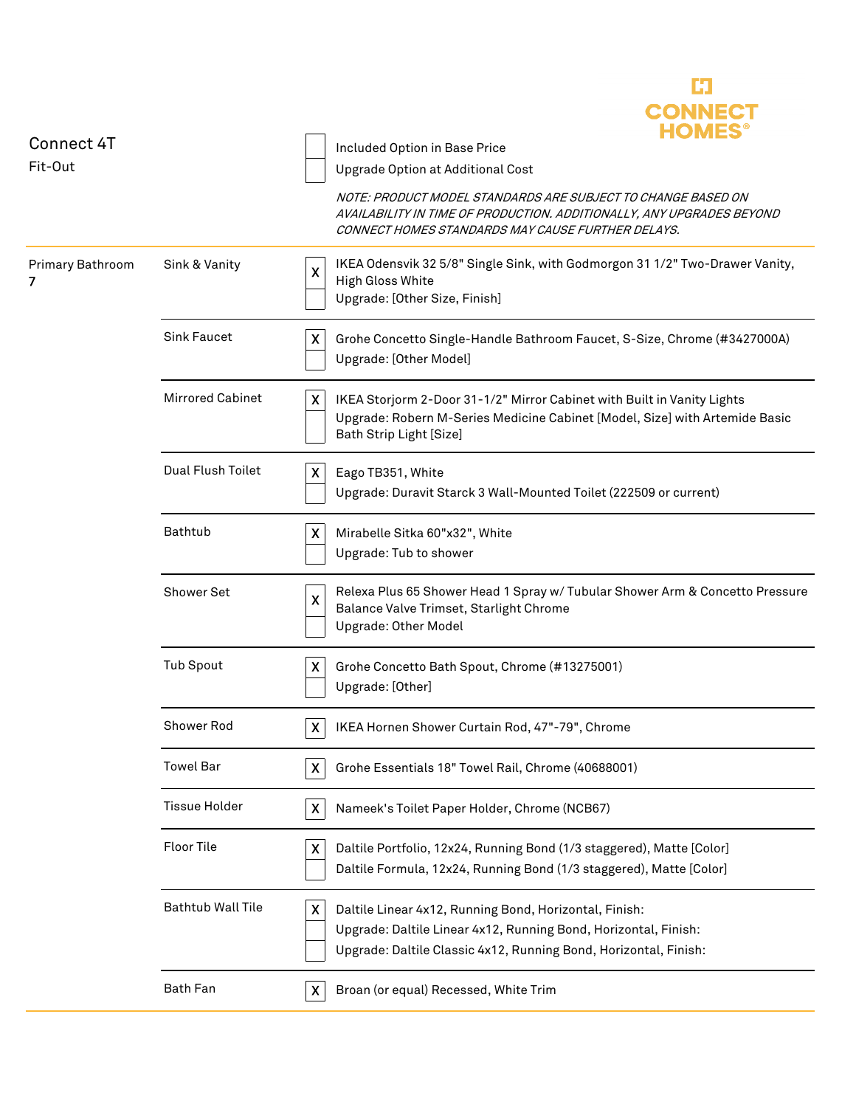| Connect 4T<br>Fit-Out |                          | HOMES<br>Included Option in Base Price<br>Upgrade Option at Additional Cost                                                                                                                        |
|-----------------------|--------------------------|----------------------------------------------------------------------------------------------------------------------------------------------------------------------------------------------------|
|                       |                          | NOTE: PRODUCT MODEL STANDARDS ARE SUBJECT TO CHANGE BASED ON<br>AVAILABILITY IN TIME OF PRODUCTION. ADDITIONALLY, ANY UPGRADES BEYOND<br>CONNECT HOMES STANDARDS MAY CAUSE FURTHER DELAYS.         |
| Primary Bathroom<br>7 | Sink & Vanity            | IKEA Odensvik 32 5/8" Single Sink, with Godmorgon 31 1/2" Two-Drawer Vanity,<br>X<br>High Gloss White<br>Upgrade: [Other Size, Finish]                                                             |
|                       | <b>Sink Faucet</b>       | Grohe Concetto Single-Handle Bathroom Faucet, S-Size, Chrome (#3427000A)<br>X<br>Upgrade: [Other Model]                                                                                            |
|                       | <b>Mirrored Cabinet</b>  | IKEA Storjorm 2-Door 31-1/2" Mirror Cabinet with Built in Vanity Lights<br>X<br>Upgrade: Robern M-Series Medicine Cabinet [Model, Size] with Artemide Basic<br>Bath Strip Light [Size]             |
|                       | Dual Flush Toilet        | Eago TB351, White<br>X<br>Upgrade: Duravit Starck 3 Wall-Mounted Toilet (222509 or current)                                                                                                        |
|                       | Bathtub                  | Mirabelle Sitka 60"x32", White<br>X<br>Upgrade: Tub to shower                                                                                                                                      |
|                       | Shower Set               | Relexa Plus 65 Shower Head 1 Spray w/ Tubular Shower Arm & Concetto Pressure<br>X<br>Balance Valve Trimset, Starlight Chrome<br>Upgrade: Other Model                                               |
|                       | <b>Tub Spout</b>         | Grohe Concetto Bath Spout, Chrome (#13275001)<br>X<br>Upgrade: [Other]                                                                                                                             |
|                       | Shower Rod               | X.<br>IKEA Hornen Shower Curtain Rod, 47"-79", Chrome                                                                                                                                              |
|                       | <b>Towel Bar</b>         | $\pmb{\mathsf{X}}$<br>Grohe Essentials 18" Towel Rail, Chrome (40688001)                                                                                                                           |
|                       | <b>Tissue Holder</b>     | Nameek's Toilet Paper Holder, Chrome (NCB67)<br>X                                                                                                                                                  |
|                       | <b>Floor Tile</b>        | Daltile Portfolio, 12x24, Running Bond (1/3 staggered), Matte [Color]<br>X<br>Daltile Formula, 12x24, Running Bond (1/3 staggered), Matte [Color]                                                  |
|                       | <b>Bathtub Wall Tile</b> | Daltile Linear 4x12, Running Bond, Horizontal, Finish:<br>X<br>Upgrade: Daltile Linear 4x12, Running Bond, Horizontal, Finish:<br>Upgrade: Daltile Classic 4x12, Running Bond, Horizontal, Finish: |
|                       | Bath Fan                 | Broan (or equal) Recessed, White Trim<br>X                                                                                                                                                         |
|                       |                          |                                                                                                                                                                                                    |

ĽJ